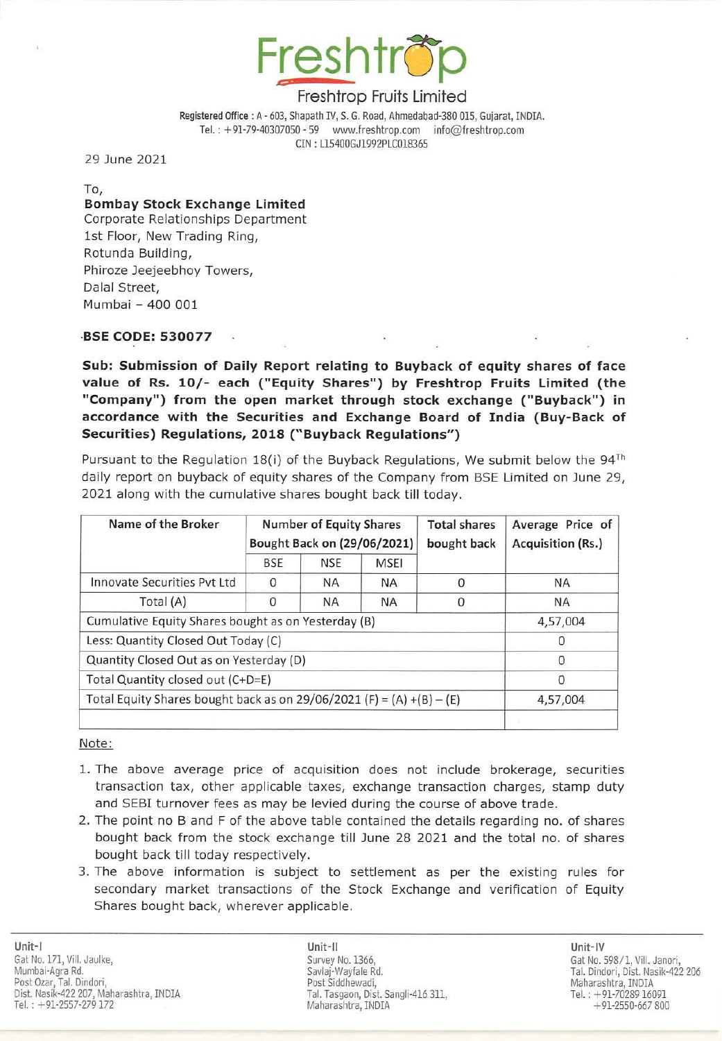

Registered Office: A - 603, Shapath IV, S. G. Road, Ahmedabad-38G 015, Gujarat, INDIA. Tel.: +91-79-40307050 - 59 www.freshtrop.com info@freshtrop.com eIN : LlS400GJ1992PLC0l8365

29 June 2021

To,

Bombay Stock Exchange Limited Corporate Relationships Department 1st Floor, New Trading Ring, Rotunda Building, Phiroze Jeejeebhoy Towers, Dalal Street, Mumbai - 400 001

## ·BSE CODE: 530077

Sub: Submission of Daily Report relating to Buyback of equity shares of face value of Rs. 10/- each ("Equity Shares") by Freshtrop Fruits Limited (the "Company") from the open market through stock exchange ("Buyback") in accordance with the Securities and Exchange Board of India (Buy-Back of Securities) Regulations, 2018 ("Buyback Regulations")

Pursuant to the Regulation 18(i) of the Buyback Regulations, We submit below the  $94<sup>Th</sup>$ daily report on buyback of equity shares of the Company from BSE Limited on June 29, 2021 along with the cumulative shares bought back till today.

| Name of the Broker                                                    | <b>Number of Equity Shares</b><br>Bought Back on (29/06/2021) |            |           | <b>Total shares</b><br>bought back | Average Price of<br>Acquisition (Rs.) |
|-----------------------------------------------------------------------|---------------------------------------------------------------|------------|-----------|------------------------------------|---------------------------------------|
|                                                                       | <b>BSE</b>                                                    | <b>NSE</b> | MSEI      |                                    |                                       |
| Innovate Securities Pyt Ltd                                           | $\Omega$                                                      | ΝA         | <b>NA</b> | O                                  | <b>NA</b>                             |
| Total (A)                                                             | $\Omega$                                                      | <b>NA</b>  | <b>NA</b> | <sup>0</sup>                       | <b>NA</b>                             |
| Cumulative Equity Shares bought as on Yesterday (B)                   |                                                               |            |           |                                    | 4,57,004                              |
| Less: Quantity Closed Out Today (C)                                   |                                                               |            |           |                                    |                                       |
| Quantity Closed Out as on Yesterday (D)                               |                                                               |            |           |                                    | O                                     |
| Total Quantity closed out (C+D=E)                                     |                                                               |            |           |                                    | 0                                     |
| Total Equity Shares bought back as on 29/06/2021 (F) = (A) +(B) - (E) |                                                               |            |           |                                    | 4,57,004                              |
|                                                                       |                                                               |            |           |                                    |                                       |

Note:

- 1. The above average price of acquisition does not include brokerage, securities transaction tax, other applicable taxes, exchange transaction charges, stamp duty and SEBI turnover fees as may be levied during the course of above trade.
- 2. The point no B and F of the above table contained the details regarding no. of shares bought back from the stock exchange till June 28 2021 and the total no. of shares bought back till today respectively.
- 3. The above information is subject to settlement as per the existing rules for secondary market transactions of the Stock Exchange and verification of Equity Shares bought back, wherever applicable.

Unit-II Unit-IV Savlaj·Wayfale Rd. Post Siddhewadi, Tal. Tasgaon, Dist. Sangli-416 311. Maharashtra, INDIA